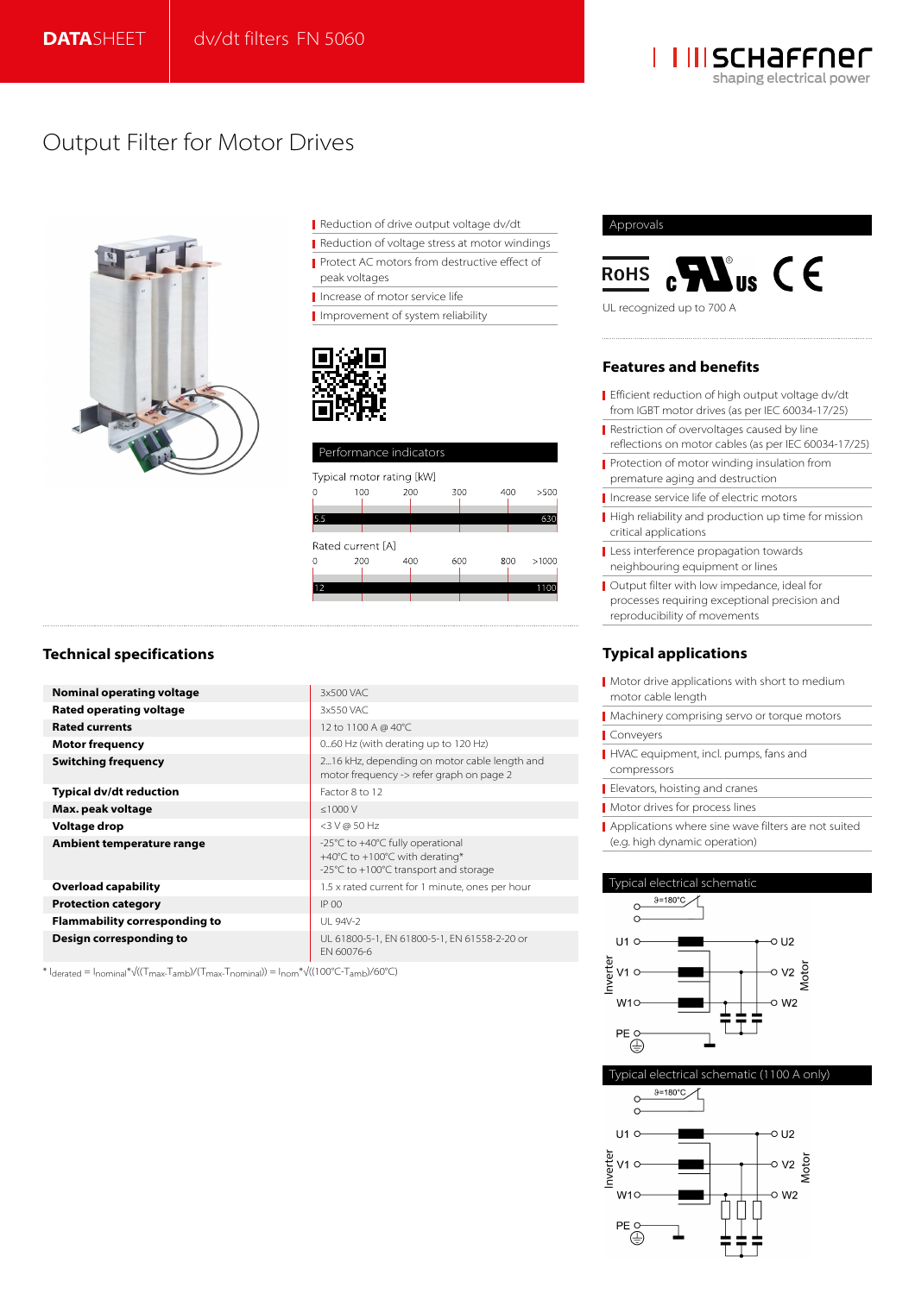

## Output Filter for Motor Drives



Reduction of drive output voltage dv/dt

- Reduction of voltage stress at motor windings
- Protect AC motors from destructive effect of
- peak voltages

Increase of motor service life

Improvement of system reliability



| Performance indicators    |     |     |     |     |       |  |  |  |
|---------------------------|-----|-----|-----|-----|-------|--|--|--|
| Typical motor rating [kW] |     |     |     |     |       |  |  |  |
|                           | 100 | 200 | 300 | 400 | >500  |  |  |  |
|                           |     |     |     |     |       |  |  |  |
| 5.5                       |     |     |     |     | 63C   |  |  |  |
|                           |     |     |     |     |       |  |  |  |
| Rated current [A]         |     |     |     |     |       |  |  |  |
| Ω                         | 200 | 400 | 600 | 800 | >1000 |  |  |  |
|                           |     |     |     |     |       |  |  |  |
| $\overline{\phantom{0}}$  |     |     |     |     | œ     |  |  |  |
|                           |     |     |     |     |       |  |  |  |
|                           |     |     |     |     |       |  |  |  |

## **Technical specifications**

| Nominal operating voltage            | 3x500 VAC                                                                                                                         |
|--------------------------------------|-----------------------------------------------------------------------------------------------------------------------------------|
| Rated operating voltage              | 3x550 VAC                                                                                                                         |
| <b>Rated currents</b>                | 12 to 1100 A @ 40°C                                                                                                               |
| <b>Motor frequency</b>               | 060 Hz (with derating up to 120 Hz)                                                                                               |
| <b>Switching frequency</b>           | 216 kHz, depending on motor cable length and<br>motor frequency -> refer graph on page 2                                          |
| Typical dv/dt reduction              | Factor 8 to 12                                                                                                                    |
| Max. peak voltage                    | < 1000 V                                                                                                                          |
| Voltage drop                         | $<$ 3 V @ 50 Hz                                                                                                                   |
| Ambient temperature range            | -25°C to +40°C fully operational<br>+40 $^{\circ}$ C to +100 $^{\circ}$ C with derating*<br>-25°C to +100°C transport and storage |
| <b>Overload capability</b>           | 1.5 x rated current for 1 minute, ones per hour                                                                                   |
| <b>Protection category</b>           | $IP$ 00                                                                                                                           |
| <b>Flammability corresponding to</b> | UL 94V-2                                                                                                                          |
| Design corresponding to              | UL 61800-5-1, EN 61800-5-1, EN 61558-2-20 or<br>FN 60076-6                                                                        |

\* Iderated = Inominal\*√((Tmax-Tamb)/(Tmax-Tnominal)) = Inom\*√((100°C-Tamb)/60°C)

#### Approvals



UL recognized up to 700 A

## **Features and benefits**

- Efficient reduction of high output voltage dv/dt from IGBT motor drives (as per IEC 60034-17/25)
- Restriction of overvoltages caused by line reflections on motor cables (as per IEC 60034-17/25)
- Protection of motor winding insulation from premature aging and destruction
- Increase service life of electric motors
- High reliability and production up time for mission critical applications
- Less interference propagation towards neighbouring equipment or lines
- Output filter with low impedance, ideal for processes requiring exceptional precision and reproducibility of movements

## **Typical applications**

- Motor drive applications with short to medium motor cable length
- Machinery comprising servo or torque motors
- **Convevers**
- HVAC equipment, incl. pumps, fans and compressors
- Elevators, hoisting and cranes
- **Motor drives for process lines**
- Applications where sine wave filters are not suited (e.g. high dynamic operation)





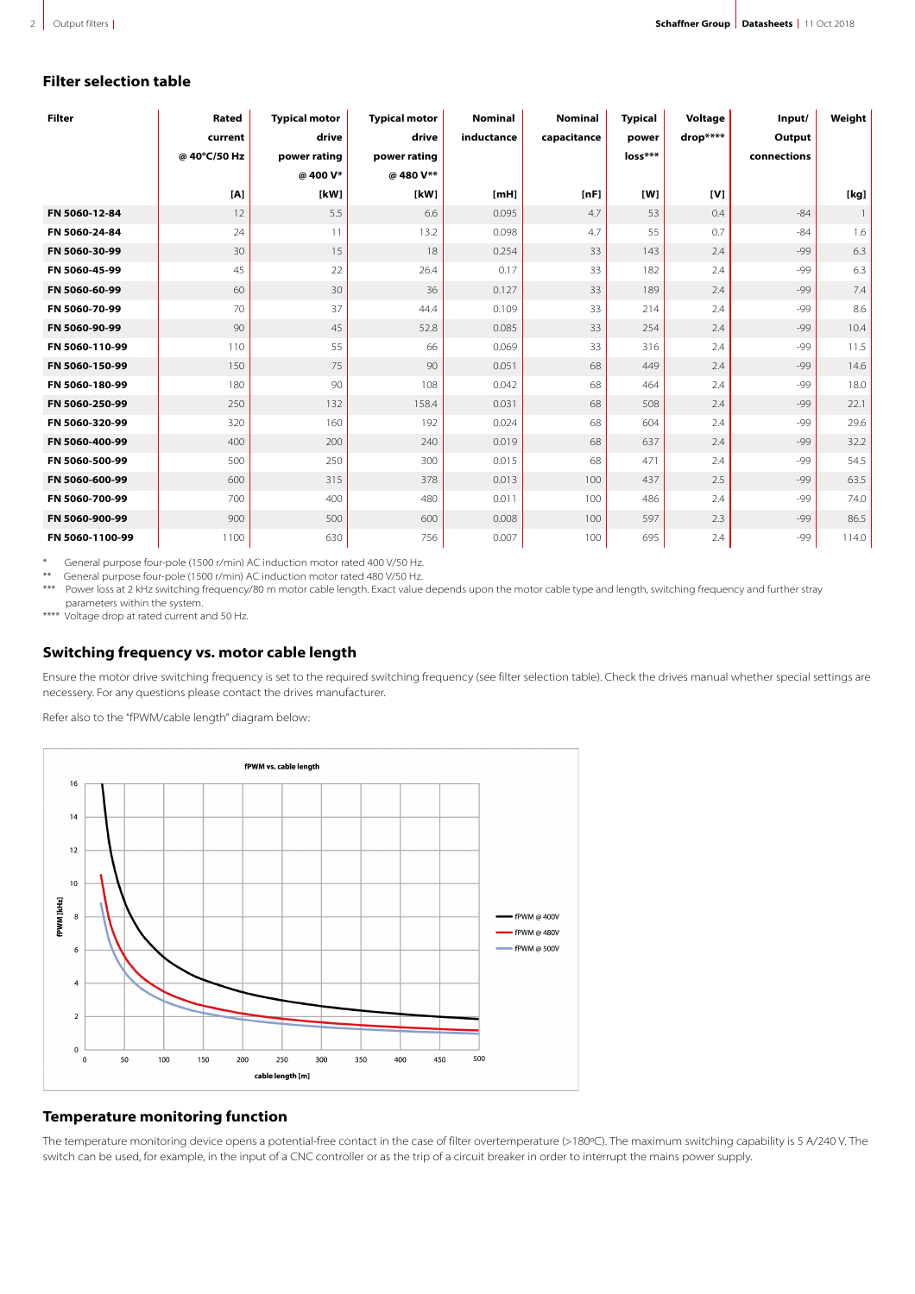## **Filter selection table**

| <b>Filter</b>   | Rated        | <b>Typical motor</b> | <b>Typical motor</b> | <b>Nominal</b> | <b>Nominal</b> | <b>Typical</b> | Voltage  | Input/      | Weight         |
|-----------------|--------------|----------------------|----------------------|----------------|----------------|----------------|----------|-------------|----------------|
|                 | current      | drive                | drive                | inductance     | capacitance    | power          | drop**** | Output      |                |
|                 | @ 40°C/50 Hz | power rating         | power rating         |                |                | loss***        |          | connections |                |
|                 |              | @400 V*              | @480V**              |                |                |                |          |             |                |
|                 | [A]          | [kW]                 | [kW]                 | [ <b>mH</b> ]  | [nF]           | [W]            | [V]      |             | [kg]           |
| FN 5060-12-84   | 12           | 5.5                  | 6.6                  | 0.095          | 4.7            | 53             | 0.4      | $-84$       | $\overline{1}$ |
| FN 5060-24-84   | 24           | 11                   | 13.2                 | 0.098          | 4.7            | 55             | 0.7      | $-84$       | 1.6            |
| FN 5060-30-99   | 30           | 15                   | 18                   | 0.254          | 33             | 143            | 2.4      | -99         | 6.3            |
| FN 5060-45-99   | 45           | 22                   | 26.4                 | 0.17           | 33             | 182            | 2.4      | $-99$       | 6.3            |
| FN 5060-60-99   | 60           | 30                   | 36                   | 0.127          | 33             | 189            | 2.4      | -99         | 7.4            |
| FN 5060-70-99   | 70           | 37                   | 44.4                 | 0.109          | 33             | 214            | 2.4      | $-99$       | 8.6            |
| FN 5060-90-99   | 90           | 45                   | 52.8                 | 0.085          | 33             | 254            | 2.4      | $-99$       | 10.4           |
| FN 5060-110-99  | 110          | 55                   | 66                   | 0.069          | 33             | 316            | 2.4      | -99         | 11.5           |
| FN 5060-150-99  | 150          | 75                   | 90                   | 0.051          | 68             | 449            | 2.4      | $-99$       | 14.6           |
| FN 5060-180-99  | 180          | 90                   | 108                  | 0.042          | 68             | 464            | 2.4      | -99         | 18.0           |
| FN 5060-250-99  | 250          | 132                  | 158.4                | 0.031          | 68             | 508            | 2.4      | $-99$       | 22.1           |
| FN 5060-320-99  | 320          | 160                  | 192                  | 0.024          | 68             | 604            | 2.4      | -99         | 29.6           |
| FN 5060-400-99  | 400          | 200                  | 240                  | 0.019          | 68             | 637            | 2.4      | $-99$       | 32.2           |
| FN 5060-500-99  | 500          | 250                  | 300                  | 0.015          | 68             | 471            | 2.4      | $-99$       | 54.5           |
| FN 5060-600-99  | 600          | 315                  | 378                  | 0.013          | 100            | 437            | 2.5      | -99         | 63.5           |
| FN 5060-700-99  | 700          | 400                  | 480                  | 0.011          | 100            | 486            | 2.4      | $-99$       | 74.0           |
| FN 5060-900-99  | 900          | 500                  | 600                  | 0.008          | 100            | 597            | 2.3      | -99         | 86.5           |
| FN 5060-1100-99 | 1100         | 630                  | 756                  | 0.007          | 100            | 695            | 2.4      | -99         | 114.0          |

\* General purpose four-pole (1500 r/min) AC induction motor rated 400 V/50 Hz.

\*\* General purpose four-pole (1500 r/min) AC induction motor rated 480 V/50 Hz.<br>\*\*\* Power loss at 2 kHz switching frequency/80 m motor cable length. Exact value

Power loss at 2 kHz switching frequency/80 m motor cable length. Exact value depends upon the motor cable type and length, switching frequency and further stray parameters within the system.

\*\*\*\* Voltage drop at rated current and 50 Hz.

## **Switching frequency vs. motor cable length**

Ensure the motor drive switching frequency is set to the required switching frequency (see filter selection table). Check the drives manual whether special settings are necessery. For any questions please contact the drives manufacturer.

Refer also to the "fPWM/cable length" diagram below:



## **Temperature monitoring function**

The temperature monitoring device opens a potential-free contact in the case of filter overtemperature (>180°C). The maximum switching capability is 5 A/240 V. The switch can be used, for example, in the input of a CNC controller or as the trip of a circuit breaker in order to interrupt the mains power supply.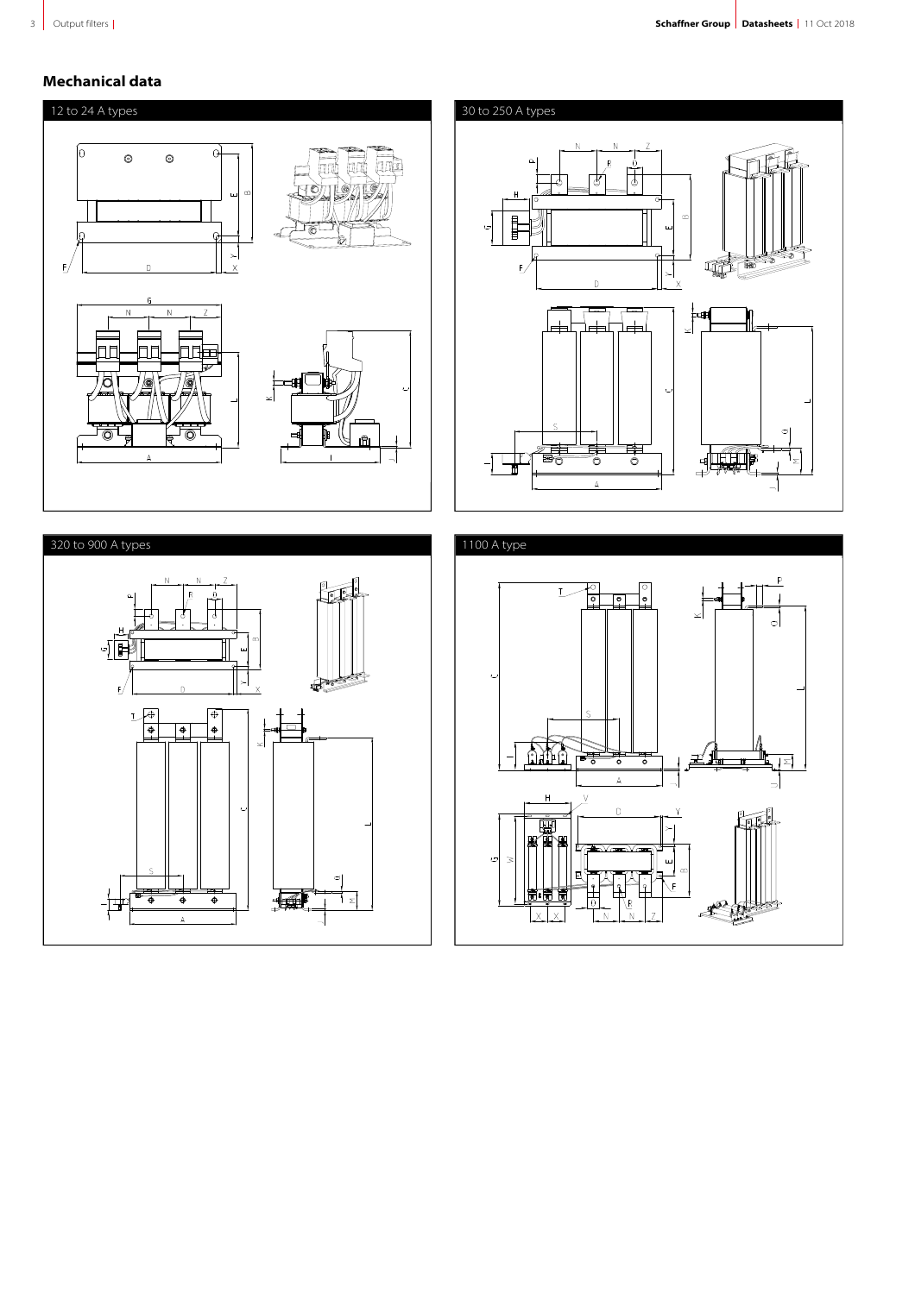## **Mechanical data**

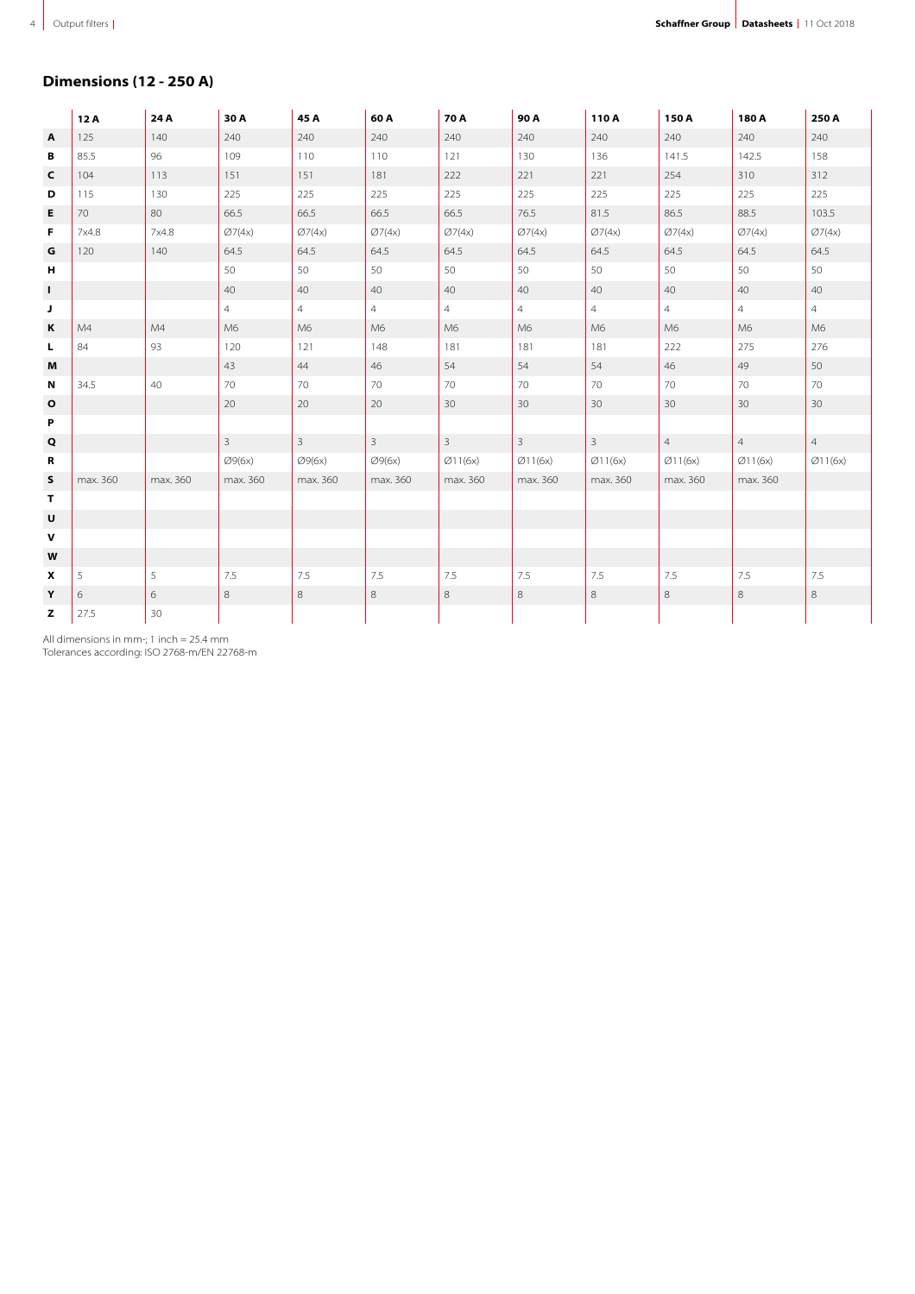## **Dimensions (12 - 250 A)**

|                | 12A      | 24 A     | 30 A           | 45 A           | 60A            | 70 A           | 90 A           | 110A           | 150 A          | 180 A          | 250 A          |
|----------------|----------|----------|----------------|----------------|----------------|----------------|----------------|----------------|----------------|----------------|----------------|
| $\overline{A}$ | 125      | 140      | 240            | 240            | 240            | 240            | 240            | 240            | 240            | 240            | 240            |
| В              | 85.5     | 96       | 109            | 110            | 110            | 121            | 130            | 136            | 141.5          | 142.5          | 158            |
| C              | 104      | 113      | 151            | 151            | 181            | 222            | 221            | 221            | 254            | 310            | 312            |
| D              | 115      | 130      | 225            | 225            | 225            | 225            | 225            | 225            | 225            | 225            | 225            |
| Е              | 70       | 80       | 66.5           | 66.5           | 66.5           | 66.5           | 76.5           | 81.5           | 86.5           | 88.5           | 103.5          |
| F              | 7x4.8    | 7x4.8    | Ø7(4x)         | Ø7(4x)         | Ø7(4x)         | Ø7(4x)         | Ø7(4x)         | Ø7(4x)         | Ø7(4x)         | Ø7(4x)         | Ø7(4x)         |
| G              | 120      | 140      | 64.5           | 64.5           | 64.5           | 64.5           | 64.5           | 64.5           | 64.5           | 64.5           | 64.5           |
| н              |          |          | 50             | 50             | 50             | 50             | 50             | 50             | 50             | 50             | 50             |
| $\mathbf{I}$   |          |          | 40             | 40             | 40             | 40             | 40             | 40             | 40             | 40             | 40             |
| J              |          |          | $\overline{4}$ | $\overline{4}$ | $\overline{4}$ | $\overline{4}$ | $\overline{4}$ | $\overline{4}$ | $\overline{4}$ | $\overline{4}$ | $\overline{4}$ |
| Κ              | M4       | M4       | M6             | M6             | M6             | M6             | M6             | M6             | M6             | M6             | M <sub>6</sub> |
| L              | 84       | 93       | 120            | 121            | 148            | 181            | 181            | 181            | 222            | 275            | 276            |
| M              |          |          | 43             | 44             | 46             | 54             | 54             | 54             | 46             | 49             | 50             |
| N              | 34.5     | 40       | 70             | 70             | 70             | 70             | 70             | 70             | 70             | 70             | 70             |
| o              |          |          | 20             | 20             | 20             | 30             | 30             | 30             | 30             | 30             | 30             |
| P              |          |          |                |                |                |                |                |                |                |                |                |
| Q              |          |          | 3              | $\overline{3}$ | $\overline{3}$ | $\overline{3}$ | $\mathbf{3}$   | $\overline{3}$ | $\overline{4}$ | $\overline{4}$ | $\overline{4}$ |
| R              |          |          | Ø9(6x)         | Ø9(6x)         | Ø9(6x)         | Ø11(6x)        | Ø11(6x)        | Ø11(6x)        | Ø11(6x)        | Ø11(6x)        | Ø11(6x)        |
| s              | max. 360 | max. 360 | max. 360       | max. 360       | max. 360       | max. 360       | max. 360       | max. 360       | max. 360       | max. 360       |                |
| Τ              |          |          |                |                |                |                |                |                |                |                |                |
| $\mathsf{U}$   |          |          |                |                |                |                |                |                |                |                |                |
| $\mathbf V$    |          |          |                |                |                |                |                |                |                |                |                |
| W              |          |          |                |                |                |                |                |                |                |                |                |
| x              | 5        | 5        | 7.5            | 7.5            | 7.5            | 7.5            | 7.5            | 7.5            | 7.5            | 7.5            | 7.5            |
| Y              | 6        | 6        | 8              | 8              | 8              | 8              | $\,8\,$        | 8              | 8              | 8              | $\,$ 8 $\,$    |
| z              | 27.5     | 30       |                |                |                |                |                |                |                |                |                |

All dimensions in mm-; 1 inch = 25.4 mm Tolerances according: ISO 2768-m/EN 22768-m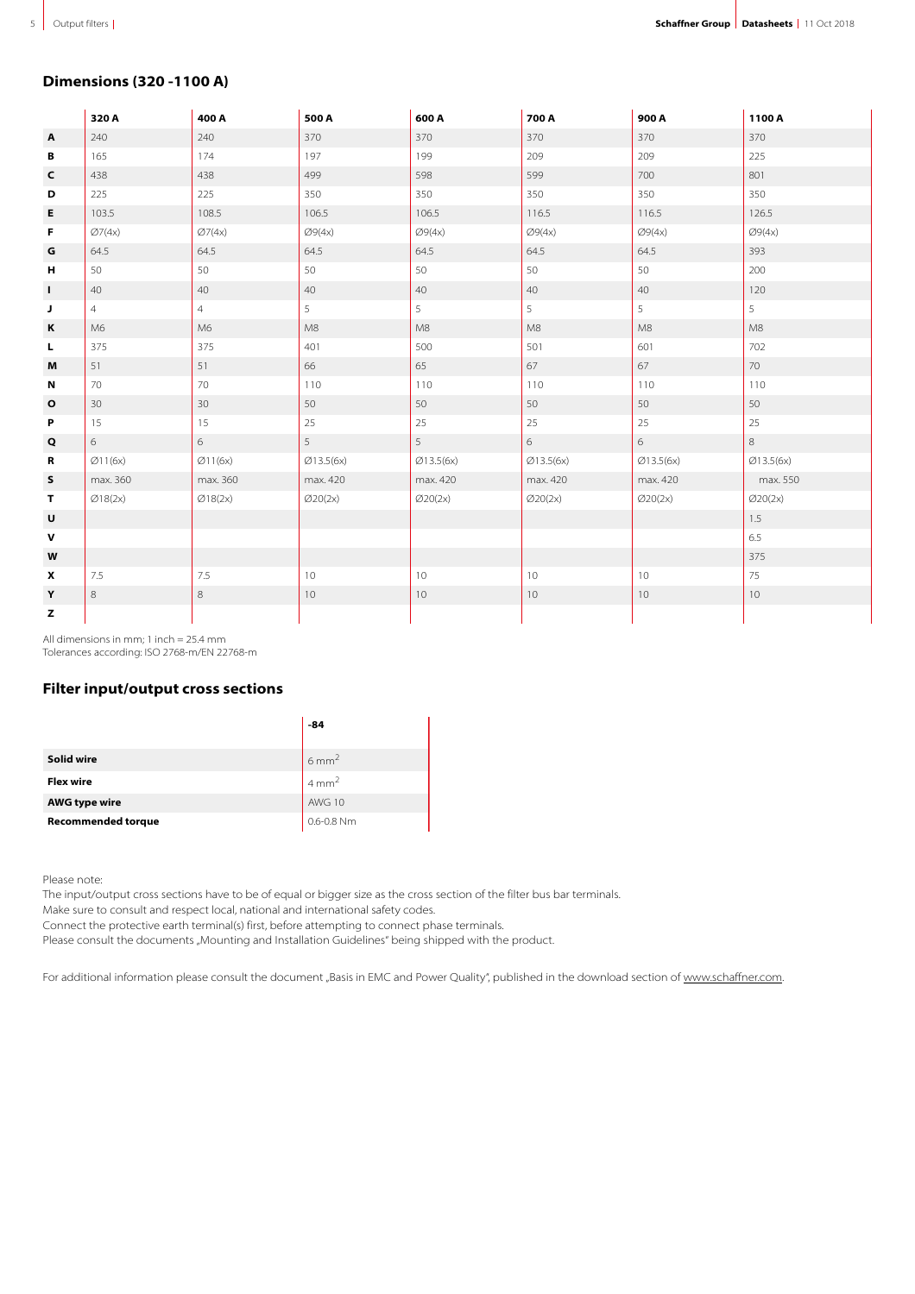## **Dimensions (320 -1100 A)**

|              | 320 A          | 400 A          | 500 A              | 600 A              | 700 A              | 900 A     | 1100 A    |
|--------------|----------------|----------------|--------------------|--------------------|--------------------|-----------|-----------|
| $\mathbf{A}$ | 240            | 240            | 370                | 370                | 370                | 370       | 370       |
| В            | 165            | 174            | 197                | 199                | 209                | 209       | 225       |
| C            | 438            | 438            | 499                | 598                | 599                | 700       | 801       |
| D            | 225            | 225            | 350                | 350                | 350                | 350       | 350       |
| E            | 103.5          | 108.5          | 106.5              | 106.5              | 116.5              | 116.5     | 126.5     |
| F            | Ø7(4x)         | Ø7(4x)         | Ø9(4x)             | Ø9(4x)             | Ø9(4x)             | Ø9(4x)    | Ø9(4x)    |
| $\mathsf G$  | 64.5           | 64.5           | 64.5               | 64.5               | 64.5               | 64.5      | 393       |
| н            | 50             | 50             | 50                 | 50                 | 50                 | 50        | 200       |
| L.           | 40             | 40             | 40                 | 40                 | 40                 | 40        | 120       |
| J            | $\overline{4}$ | $\overline{4}$ | $\overline{5}$     | 5                  | 5 <sup>1</sup>     | 5         | 5         |
| К            | M6             | M6             | M8                 | M8                 | M8                 | M8        | M8        |
| L.           | 375            | 375            | 401                | 500                | 501                | 601       | 702       |
| M            | 51             | 51             | 66                 | 65                 | 67                 | 67        | 70        |
| N            | 70             | 70             | 110                | 110                | 110                | 110       | 110       |
| $\mathbf{o}$ | 30             | 30             | 50                 | 50                 | 50                 | 50        | 50        |
| P            | 15             | 15             | $25\,$             | 25                 | 25                 | 25        | 25        |
| Q            | 6              | 6              | 5                  | 5                  | 6                  | 6         | $\,8\,$   |
| R            | Ø11(6x)        | Ø11(6x)        | Ø13.5(6x)          | Ø13.5(6x)          | Ø13.5(6x)          | Ø13.5(6x) | Ø13.5(6x) |
| s            | max. 360       | max. 360       | max. 420           | max. 420           | max. 420           | max. 420  | max. 550  |
| T.           | Ø18(2x)        | Ø18(2x)        | $\emptyset$ 20(2x) | $\emptyset$ 20(2x) | $\emptyset$ 20(2x) | Ø20(2x)   | Ø20(2x)   |
| U            |                |                |                    |                    |                    |           | 1.5       |
| $\mathbf v$  |                |                |                    |                    |                    |           | 6.5       |
| W            |                |                |                    |                    |                    |           | 375       |
| X            | 7.5            | 7.5            | 10                 | 10                 | 10                 | 10        | 75        |
| Y            | $\,$ 8         | $\,8\,$        | 10                 | 10                 | 10                 | 10        | 10        |
| z            |                |                |                    |                    |                    |           |           |

All dimensions in mm; 1 inch = 25.4 mm Tolerances according: ISO 2768-m/EN 22768-m

## **Filter input/output cross sections**

|                           | -84              |
|---------------------------|------------------|
| Solid wire                | $6 \text{ mm}^2$ |
| <b>Flex wire</b>          | $4 \text{ mm}^2$ |
| <b>AWG type wire</b>      | AWG 10           |
| <b>Recommended torque</b> | 0.6-0.8 Nm       |

Please note:

The input/output cross sections have to be of equal or bigger size as the cross section of the filter bus bar terminals.

Make sure to consult and respect local, national and international safety codes.

Connect the protective earth terminal(s) first, before attempting to connect phase terminals.

Please consult the documents "Mounting and Installation Guidelines" being shipped with the product.

For additional information please consult the document "Basis in EMC and Power Quality", published in the download section of [www.schaffner.com.](https://www.schaffner.com/)